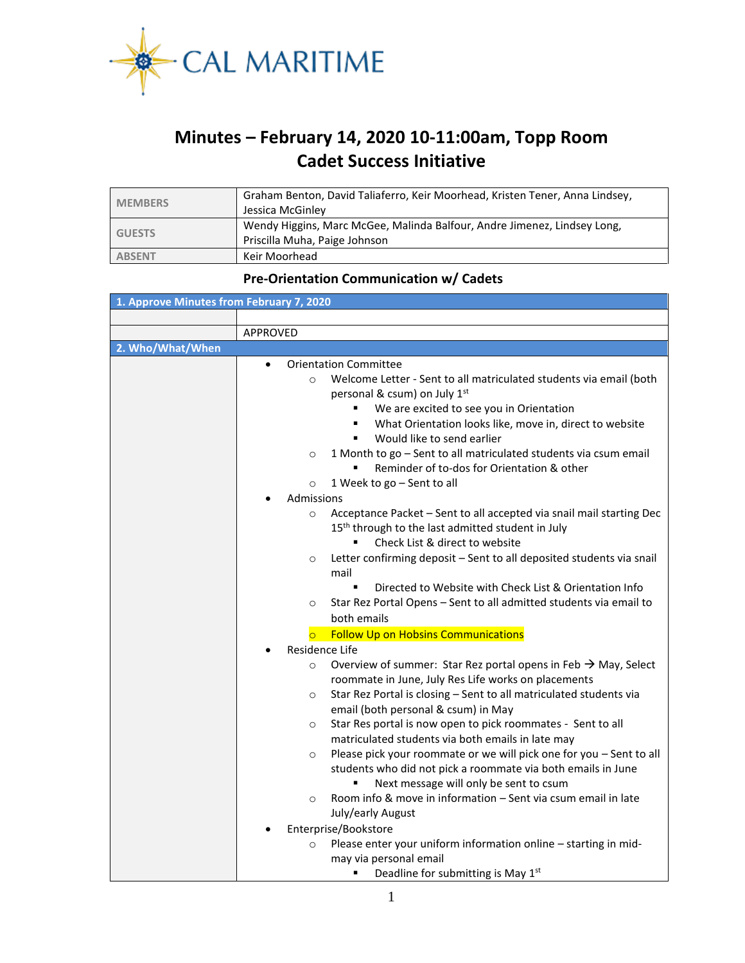

## **Minutes – February 14, 2020 10-11:00am, Topp Room Cadet Success Initiative**

| <b>MEMBERS</b> | Graham Benton, David Taliaferro, Keir Moorhead, Kristen Tener, Anna Lindsey, |
|----------------|------------------------------------------------------------------------------|
|                | Jessica McGinley                                                             |
| <b>GUESTS</b>  | Wendy Higgins, Marc McGee, Malinda Balfour, Andre Jimenez, Lindsey Long,     |
|                | Priscilla Muha, Paige Johnson                                                |
| <b>ABSENT</b>  | Keir Moorhead                                                                |

## **Pre-Orientation Communication w/ Cadets**

| 1. Approve Minutes from February 7, 2020 |                                                                                                                                                                                                                                                                                                                                                                                                                                                                                   |  |  |  |  |
|------------------------------------------|-----------------------------------------------------------------------------------------------------------------------------------------------------------------------------------------------------------------------------------------------------------------------------------------------------------------------------------------------------------------------------------------------------------------------------------------------------------------------------------|--|--|--|--|
|                                          |                                                                                                                                                                                                                                                                                                                                                                                                                                                                                   |  |  |  |  |
|                                          | <b>APPROVED</b>                                                                                                                                                                                                                                                                                                                                                                                                                                                                   |  |  |  |  |
| 2. Who/What/When                         |                                                                                                                                                                                                                                                                                                                                                                                                                                                                                   |  |  |  |  |
|                                          | <b>Orientation Committee</b><br>$\bullet$<br>Welcome Letter - Sent to all matriculated students via email (both<br>$\circ$<br>personal & csum) on July 1 <sup>st</sup><br>We are excited to see you in Orientation<br>What Orientation looks like, move in, direct to website<br>Would like to send earlier<br>1 Month to go - Sent to all matriculated students via csum email<br>$\circ$<br>Reminder of to-dos for Orientation & other<br>1 Week to go - Sent to all<br>$\circ$ |  |  |  |  |
|                                          | Admissions                                                                                                                                                                                                                                                                                                                                                                                                                                                                        |  |  |  |  |
|                                          | Acceptance Packet - Sent to all accepted via snail mail starting Dec<br>$\circ$<br>15 <sup>th</sup> through to the last admitted student in July<br>Check List & direct to website                                                                                                                                                                                                                                                                                                |  |  |  |  |
|                                          | Letter confirming deposit - Sent to all deposited students via snail<br>$\circ$<br>mail<br>$\blacksquare$<br>Directed to Website with Check List & Orientation Info                                                                                                                                                                                                                                                                                                               |  |  |  |  |
|                                          | Star Rez Portal Opens - Sent to all admitted students via email to<br>$\circ$<br>both emails<br><b>Follow Up on Hobsins Communications</b><br>$\overline{O}$                                                                                                                                                                                                                                                                                                                      |  |  |  |  |
|                                          | Residence Life                                                                                                                                                                                                                                                                                                                                                                                                                                                                    |  |  |  |  |
|                                          | Overview of summer: Star Rez portal opens in Feb $\rightarrow$ May, Select<br>$\circ$<br>roommate in June, July Res Life works on placements<br>Star Rez Portal is closing - Sent to all matriculated students via<br>$\circ$<br>email (both personal & csum) in May                                                                                                                                                                                                              |  |  |  |  |
|                                          | Star Res portal is now open to pick roommates - Sent to all<br>$\circ$<br>matriculated students via both emails in late may                                                                                                                                                                                                                                                                                                                                                       |  |  |  |  |
|                                          | Please pick your roommate or we will pick one for you - Sent to all<br>$\circ$<br>students who did not pick a roommate via both emails in June<br>Next message will only be sent to csum                                                                                                                                                                                                                                                                                          |  |  |  |  |
|                                          | Room info & move in information - Sent via csum email in late<br>$\circ$<br>July/early August                                                                                                                                                                                                                                                                                                                                                                                     |  |  |  |  |
|                                          | Enterprise/Bookstore                                                                                                                                                                                                                                                                                                                                                                                                                                                              |  |  |  |  |
|                                          | Please enter your uniform information online - starting in mid-<br>$\circ$<br>may via personal email<br>Deadline for submitting is May 1st<br>٠                                                                                                                                                                                                                                                                                                                                   |  |  |  |  |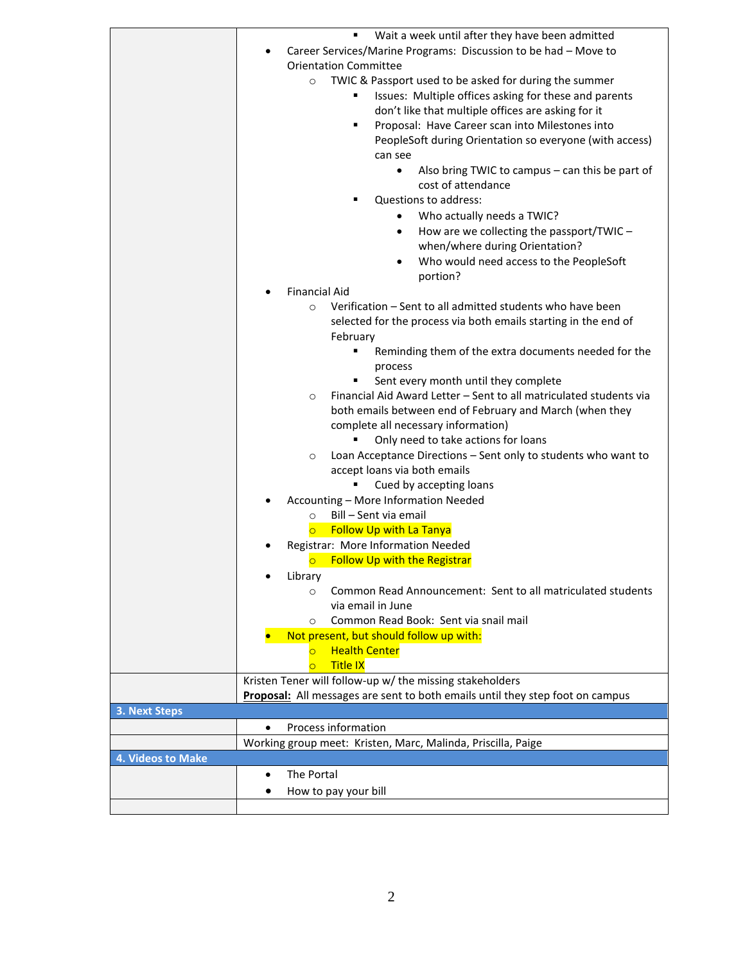|                      | Wait a week until after they have been admitted                                                   |  |  |  |  |
|----------------------|---------------------------------------------------------------------------------------------------|--|--|--|--|
|                      | Career Services/Marine Programs: Discussion to be had - Move to                                   |  |  |  |  |
|                      | <b>Orientation Committee</b><br>TWIC & Passport used to be asked for during the summer<br>$\circ$ |  |  |  |  |
|                      |                                                                                                   |  |  |  |  |
|                      | Issues: Multiple offices asking for these and parents                                             |  |  |  |  |
|                      |                                                                                                   |  |  |  |  |
|                      | don't like that multiple offices are asking for it                                                |  |  |  |  |
|                      | Proposal: Have Career scan into Milestones into                                                   |  |  |  |  |
|                      | PeopleSoft during Orientation so everyone (with access)                                           |  |  |  |  |
|                      | can see                                                                                           |  |  |  |  |
|                      | Also bring TWIC to campus – can this be part of<br>$\bullet$                                      |  |  |  |  |
|                      | cost of attendance                                                                                |  |  |  |  |
|                      | Questions to address:                                                                             |  |  |  |  |
|                      |                                                                                                   |  |  |  |  |
|                      | Who actually needs a TWIC?                                                                        |  |  |  |  |
|                      | How are we collecting the passport/TWIC -<br>$\bullet$                                            |  |  |  |  |
|                      | when/where during Orientation?                                                                    |  |  |  |  |
|                      | Who would need access to the PeopleSoft                                                           |  |  |  |  |
|                      | portion?                                                                                          |  |  |  |  |
|                      | <b>Financial Aid</b>                                                                              |  |  |  |  |
|                      |                                                                                                   |  |  |  |  |
|                      | Verification - Sent to all admitted students who have been<br>$\circ$                             |  |  |  |  |
|                      | selected for the process via both emails starting in the end of                                   |  |  |  |  |
|                      | February                                                                                          |  |  |  |  |
|                      | Reminding them of the extra documents needed for the                                              |  |  |  |  |
|                      | process                                                                                           |  |  |  |  |
|                      | Sent every month until they complete                                                              |  |  |  |  |
|                      | Financial Aid Award Letter - Sent to all matriculated students via<br>O                           |  |  |  |  |
|                      |                                                                                                   |  |  |  |  |
|                      | both emails between end of February and March (when they                                          |  |  |  |  |
|                      | complete all necessary information)                                                               |  |  |  |  |
|                      | Only need to take actions for loans                                                               |  |  |  |  |
|                      | Loan Acceptance Directions - Sent only to students who want to<br>$\circ$                         |  |  |  |  |
|                      | accept loans via both emails                                                                      |  |  |  |  |
|                      | Cued by accepting loans                                                                           |  |  |  |  |
|                      | Accounting - More Information Needed                                                              |  |  |  |  |
|                      | Bill - Sent via email<br>$\circ$                                                                  |  |  |  |  |
|                      |                                                                                                   |  |  |  |  |
|                      | <b>Follow Up with La Tanya</b><br>$\overline{\circ}$                                              |  |  |  |  |
|                      | Registrar: More Information Needed                                                                |  |  |  |  |
|                      | <b>Follow Up with the Registrar</b><br>$\circ$                                                    |  |  |  |  |
|                      | Library                                                                                           |  |  |  |  |
|                      | Common Read Announcement: Sent to all matriculated students<br>O                                  |  |  |  |  |
|                      | via email in June                                                                                 |  |  |  |  |
|                      | Common Read Book: Sent via snail mail<br>O                                                        |  |  |  |  |
|                      | Not present, but should follow up with:                                                           |  |  |  |  |
|                      | <b>Health Center</b>                                                                              |  |  |  |  |
|                      |                                                                                                   |  |  |  |  |
|                      | <b>Title IX</b><br>$\overline{\mathsf{C}}$                                                        |  |  |  |  |
|                      | Kristen Tener will follow-up w/ the missing stakeholders                                          |  |  |  |  |
|                      | Proposal: All messages are sent to both emails until they step foot on campus                     |  |  |  |  |
| <b>3. Next Steps</b> |                                                                                                   |  |  |  |  |
|                      | Process information<br>$\bullet$                                                                  |  |  |  |  |
|                      | Working group meet: Kristen, Marc, Malinda, Priscilla, Paige                                      |  |  |  |  |
| 4. Videos to Make    |                                                                                                   |  |  |  |  |
|                      | The Portal<br>$\bullet$                                                                           |  |  |  |  |
|                      |                                                                                                   |  |  |  |  |
|                      | How to pay your bill<br>٠                                                                         |  |  |  |  |
|                      |                                                                                                   |  |  |  |  |